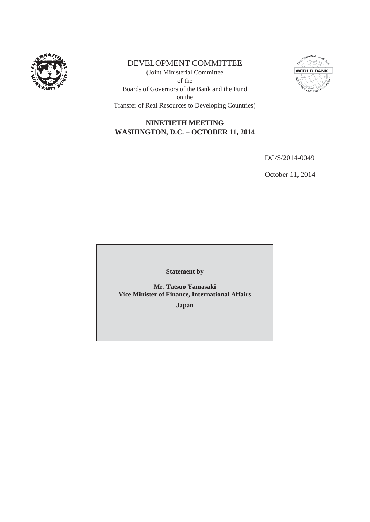

# DEVELOPMENT COMMITTEE

(Joint Ministerial Committee of the Boards of Governors of the Bank and the Fund on the Transfer of Real Resources to Developing Countries)



# **NINETIETH MEETING WASHINGTON, D.C. – OCTOBER 11, 2014**

DC/S/2014-0049

October 11, 2014

**Statement by** 

**Mr. Tatsuo Yamasaki Vice Minister of Finance, International Affairs** 

**Japan**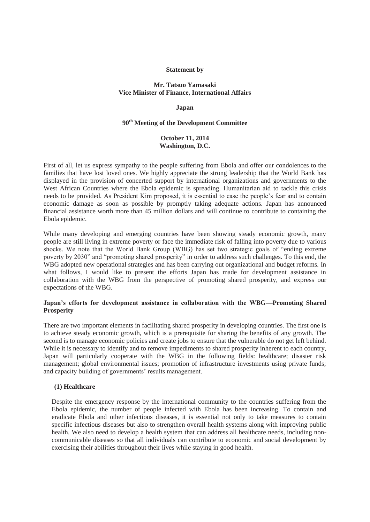#### **Statement by**

## **Mr. Tatsuo Yamasaki Vice Minister of Finance, International Affairs**

#### **Japan**

## **90th Meeting of the Development Committee**

## **October 11, 2014 Washington, D.C.**

First of all, let us express sympathy to the people suffering from Ebola and offer our condolences to the families that have lost loved ones. We highly appreciate the strong leadership that the World Bank has displayed in the provision of concerted support by international organizations and governments to the West African Countries where the Ebola epidemic is spreading. Humanitarian aid to tackle this crisis needs to be provided. As President Kim proposed, it is essential to ease the people's fear and to contain economic damage as soon as possible by promptly taking adequate actions. Japan has announced financial assistance worth more than 45 million dollars and will continue to contribute to containing the Ebola epidemic.

While many developing and emerging countries have been showing steady economic growth, many people are still living in extreme poverty or face the immediate risk of falling into poverty due to various shocks. We note that the World Bank Group (WBG) has set two strategic goals of "ending extreme poverty by 2030" and "promoting shared prosperity" in order to address such challenges. To this end, the WBG adopted new operational strategies and has been carrying out organizational and budget reforms. In what follows, I would like to present the efforts Japan has made for development assistance in collaboration with the WBG from the perspective of promoting shared prosperity, and express our expectations of the WBG.

## **Japan's efforts for development assistance in collaboration with the WBG—Promoting Shared Prosperity**

There are two important elements in facilitating shared prosperity in developing countries. The first one is to achieve steady economic growth, which is a prerequisite for sharing the benefits of any growth. The second is to manage economic policies and create jobs to ensure that the vulnerable do not get left behind. While it is necessary to identify and to remove impediments to shared prosperity inherent to each country, Japan will particularly cooperate with the WBG in the following fields: healthcare; disaster risk management; global environmental issues; promotion of infrastructure investments using private funds; and capacity building of governments' results management.

#### **(1) Healthcare**

Despite the emergency response by the international community to the countries suffering from the Ebola epidemic, the number of people infected with Ebola has been increasing. To contain and eradicate Ebola and other infectious diseases, it is essential not only to take measures to contain specific infectious diseases but also to strengthen overall health systems along with improving public health. We also need to develop a health system that can address all healthcare needs, including noncommunicable diseases so that all individuals can contribute to economic and social development by exercising their abilities throughout their lives while staying in good health.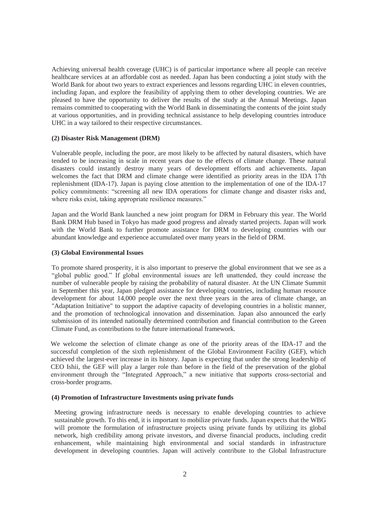Achieving universal health coverage (UHC) is of particular importance where all people can receive healthcare services at an affordable cost as needed. Japan has been conducting a joint study with the World Bank for about two years to extract experiences and lessons regarding UHC in eleven countries, including Japan, and explore the feasibility of applying them to other developing countries. We are pleased to have the opportunity to deliver the results of the study at the Annual Meetings. Japan remains committed to cooperating with the World Bank in disseminating the contents of the joint study at various opportunities, and in providing technical assistance to help developing countries introduce UHC in a way tailored to their respective circumstances.

#### **(2) Disaster Risk Management (DRM)**

Vulnerable people, including the poor, are most likely to be affected by natural disasters, which have tended to be increasing in scale in recent years due to the effects of climate change. These natural disasters could instantly destroy many years of development efforts and achievements. Japan welcomes the fact that DRM and climate change were identified as priority areas in the IDA 17th replenishment (IDA-17). Japan is paying close attention to the implementation of one of the IDA-17 policy commitments: "screening all new IDA operations for climate change and disaster risks and, where risks exist, taking appropriate resilience measures."

Japan and the World Bank launched a new joint program for DRM in February this year. The World Bank DRM Hub based in Tokyo has made good progress and already started projects. Japan will work with the World Bank to further promote assistance for DRM to developing countries with our abundant knowledge and experience accumulated over many years in the field of DRM.

#### **(3) Global Environmental Issues**

To promote shared prosperity, it is also important to preserve the global environment that we see as a "global public good." If global environmental issues are left unattended, they could increase the number of vulnerable people by raising the probability of natural disaster. At the UN Climate Summit in September this year, Japan pledged assistance for developing countries, including human resource development for about 14,000 people over the next three years in the area of climate change, an "Adaptation Initiative" to support the adaptive capacity of developing countries in a holistic manner, and the promotion of technological innovation and dissemination. Japan also announced the early submission of its intended nationally determined contribution and financial contribution to the Green Climate Fund, as contributions to the future international framework.

We welcome the selection of climate change as one of the priority areas of the IDA-17 and the successful completion of the sixth replenishment of the Global Environment Facility (GEF), which achieved the largest-ever increase in its history. Japan is expecting that under the strong leadership of CEO Ishii, the GEF will play a larger role than before in the field of the preservation of the global environment through the "Integrated Approach," a new initiative that supports cross-sectorial and cross-border programs.

#### **(4) Promotion of Infrastructure Investments using private funds**

Meeting growing infrastructure needs is necessary to enable developing countries to achieve sustainable growth. To this end, it is important to mobilize private funds. Japan expects that the WBG will promote the formulation of infrastructure projects using private funds by utilizing its global network, high credibility among private investors, and diverse financial products, including credit enhancement, while maintaining high environmental and social standards in infrastructure development in developing countries. Japan will actively contribute to the Global Infrastructure